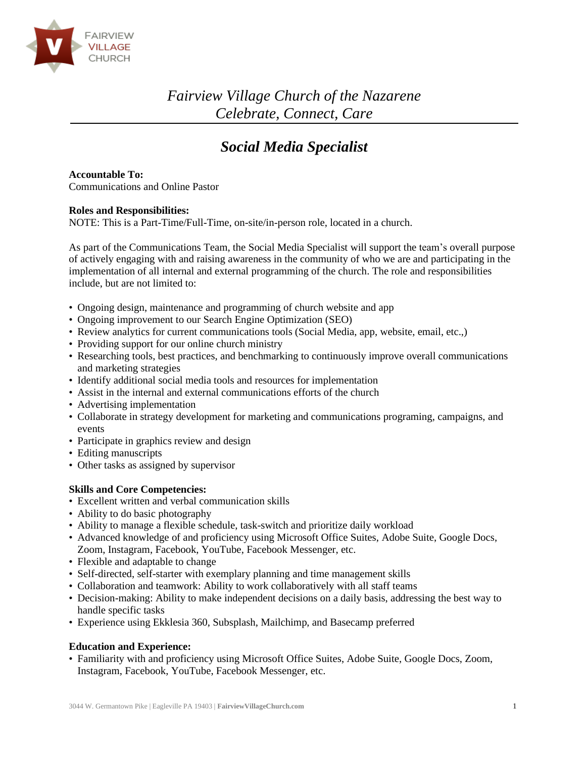

*Fairview Village Church of the Nazarene Celebrate, Connect, Care*

# *Social Media Specialist*

**Accountable To:**

Communications and Online Pastor

## **Roles and Responsibilities:**

NOTE: This is a Part-Time/Full-Time, on-site/in-person role, located in a church.

As part of the Communications Team, the Social Media Specialist will support the team's overall purpose of actively engaging with and raising awareness in the community of who we are and participating in the implementation of all internal and external programming of the church. The role and responsibilities include, but are not limited to:

- Ongoing design, maintenance and programming of church website and app
- Ongoing improvement to our Search Engine Optimization (SEO)
- Review analytics for current communications tools (Social Media, app, website, email, etc.,)
- Providing support for our online church ministry
- Researching tools, best practices, and benchmarking to continuously improve overall communications and marketing strategies
- Identify additional social media tools and resources for implementation
- Assist in the internal and external communications efforts of the church
- Advertising implementation
- Collaborate in strategy development for marketing and communications programing, campaigns, and events
- Participate in graphics review and design
- Editing manuscripts
- Other tasks as assigned by supervisor

### **Skills and Core Competencies:**

- Excellent written and verbal communication skills
- Ability to do basic photography
- Ability to manage a flexible schedule, task-switch and prioritize daily workload
- Advanced knowledge of and proficiency using Microsoft Office Suites, Adobe Suite, Google Docs, Zoom, Instagram, Facebook, YouTube, Facebook Messenger, etc.
- Flexible and adaptable to change
- Self-directed, self-starter with exemplary planning and time management skills
- Collaboration and teamwork: Ability to work collaboratively with all staff teams
- Decision-making: Ability to make independent decisions on a daily basis, addressing the best way to handle specific tasks
- Experience using Ekklesia 360, Subsplash, Mailchimp, and Basecamp preferred

### **Education and Experience:**

• Familiarity with and proficiency using Microsoft Office Suites, Adobe Suite, Google Docs, Zoom, Instagram, Facebook, YouTube, Facebook Messenger, etc.